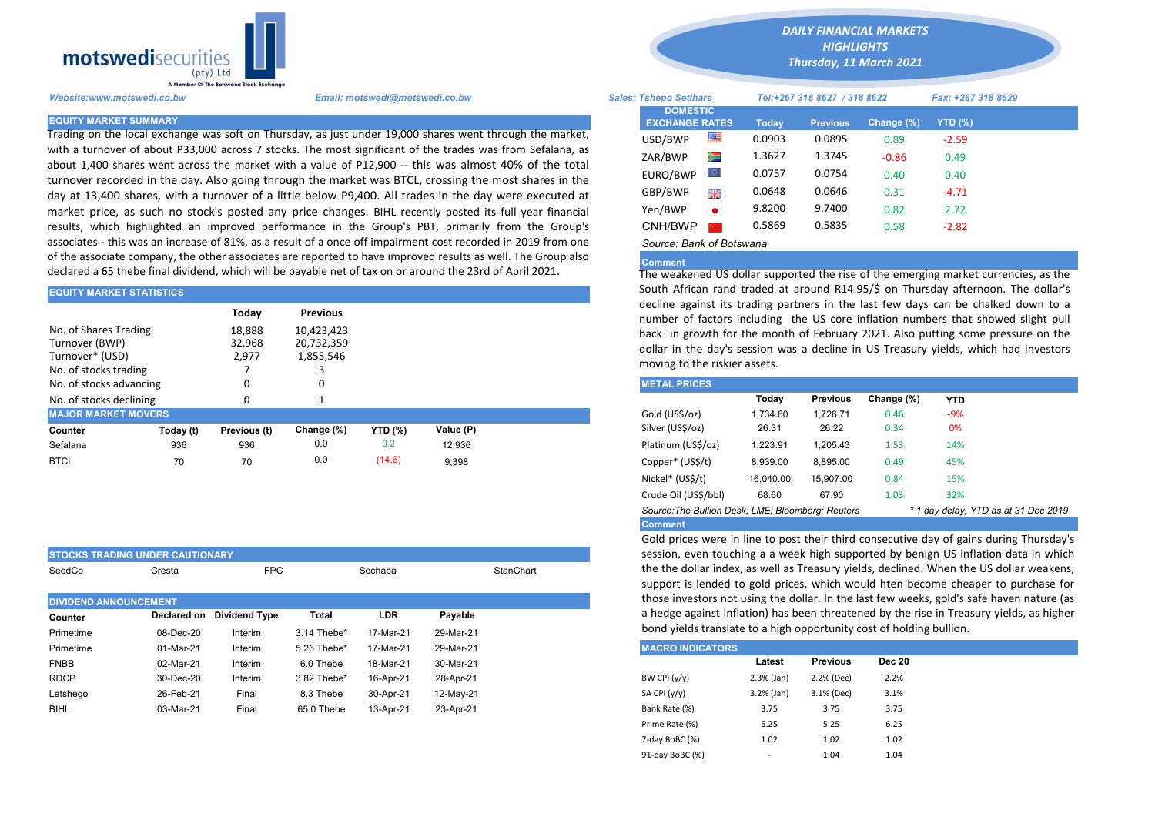

Trading on the local exchange was soft on Thursday, as just under 19,000 shares went through the market, with a turnover of about P33,000 across 7 stocks. The most significant of the trades was from Sefalana, as about 1,400 shares went across the market with a value of P12,900 -- this was almost 40% of the total turnover recorded in the day. Also going through the market was BTCL, crossing the most shares in the day at 13,400 shares, with a turnover of a little below P9,400. All trades in the day were executed at market price, as such no stock's posted any price changes. BIHL recently posted its full year financial results, which highlighted an improved performance in the Group's PBT, primarily from the Group's associates - this was an increase of 81%, as a result of a once off impairment cost recorded in 2019 from one of the associate company, the other associates are reported to have improved results as well. The Group also declared a 65 thebe final dividend, which will be payable net of tax on or around the 23rd of April 2021.

| <b>EQUITY MARKET STATISTICS</b> |           |                                                                                                                                           |            | South African rand traded at around R14.95/S on Thursday afternd |           |                                                                        |          |                 |            |            |  |
|---------------------------------|-----------|-------------------------------------------------------------------------------------------------------------------------------------------|------------|------------------------------------------------------------------|-----------|------------------------------------------------------------------------|----------|-----------------|------------|------------|--|
|                                 |           | decline against its trading partners in the last few days can be cha<br>number of factors including the US core inflation numbers that sh |            |                                                                  |           |                                                                        |          |                 |            |            |  |
| No. of Shares Trading           |           | 18,888                                                                                                                                    | 10.423.423 |                                                                  |           | back in growth for the month of February 2021. Also putting some       |          |                 |            |            |  |
| Turnover (BWP)                  |           | 32,968                                                                                                                                    | 20,732,359 |                                                                  |           | dollar in the day's session was a decline in US Treasury yields, which |          |                 |            |            |  |
| Turnover* (USD)                 |           | 2,977                                                                                                                                     | 1,855,546  |                                                                  |           |                                                                        |          |                 |            |            |  |
| No. of stocks trading           |           |                                                                                                                                           |            |                                                                  |           | moving to the riskier assets.                                          |          |                 |            |            |  |
| No. of stocks advancing         |           |                                                                                                                                           | 0          |                                                                  |           | <b>METAL PRICES</b>                                                    |          |                 |            |            |  |
| No. of stocks declining         |           |                                                                                                                                           |            |                                                                  |           |                                                                        | Today    | <b>Previous</b> | Change (%) | <b>YTD</b> |  |
| <b>MAJOR MARKET MOVERS</b>      |           |                                                                                                                                           |            |                                                                  |           | Gold (US\$/oz)                                                         | 1.734.60 | 1.726.71        | 0.46       | $-9%$      |  |
| Counter                         | Today (t) | Previous (t)                                                                                                                              | Change (%) | <b>YTD</b> (%)                                                   | Value (P) | Silver (US\$/oz)                                                       | 26.31    | 26.22           | 0.34       | 0%         |  |
| Sefalana                        | 936       | 936                                                                                                                                       | 0.0        | 0.2                                                              | 12.936    | Platinum (US\$/oz)                                                     | 1.223.91 | 1.205.43        | 1.53       | 14%        |  |
| <b>BTCL</b>                     | 70        | 70                                                                                                                                        | 0.0        | (14.6)                                                           | 9,398     | Copper* (US\$/t)                                                       | 8,939.00 | 8.895.00        | 0.49       | 45%        |  |
|                                 |           |                                                                                                                                           |            |                                                                  |           |                                                                        |          |                 |            |            |  |

| <b>STOCKS TRADING UNDER CAUTIONARY</b> |             |                      |             |                      |           |  |  |  |
|----------------------------------------|-------------|----------------------|-------------|----------------------|-----------|--|--|--|
| SeedCo                                 | Cresta      | <b>FPC</b>           |             | StanChart<br>Sechaba |           |  |  |  |
| <b>DIVIDEND ANNOUNCEMENT</b>           |             |                      |             |                      |           |  |  |  |
| Counter                                | Declared on | <b>Dividend Type</b> | Total       | <b>LDR</b>           | Payable   |  |  |  |
| Primetime                              | 08-Dec-20   | Interim              | 3.14 Thebe* | 17-Mar-21            | 29-Mar-21 |  |  |  |
| Primetime                              | 01-Mar-21   | Interim              | 5.26 Thebe* | 17-Mar-21            | 29-Mar-21 |  |  |  |
| <b>FNBB</b>                            | 02-Mar-21   | Interim              | 6.0 Thebe   | 18-Mar-21            | 30-Mar-21 |  |  |  |
| <b>RDCP</b>                            | 30-Dec-20   | Interim              | 3.82 Thebe* | 16-Apr-21            | 28-Apr-21 |  |  |  |
| Letshego                               | 26-Feb-21   | Final                | 8.3 Thebe   | 30-Apr-21            | 12-May-21 |  |  |  |
| <b>BIHL</b>                            | 03-Mar-21   | Final                | 65.0 Thebe  | 13-Apr-21            | 23-Apr-21 |  |  |  |

*DAILY FINANCIAL MARKETS*

*HIGHLIGHTS Thursday, 11 March 2021* 

| A Member Of the Botswand Stock Exchange |                                                                                                                                                                                                                |                                          |           |                              |                 |               |                    |  |
|-----------------------------------------|----------------------------------------------------------------------------------------------------------------------------------------------------------------------------------------------------------------|------------------------------------------|-----------|------------------------------|-----------------|---------------|--------------------|--|
| Website:www.motswedi.co.bw              | Email: motswedi@motswedi.co.bw                                                                                                                                                                                 | <b>Sales: Tshepo Setlhare</b>            |           | Tel:+267 318 8627 / 318 8622 |                 |               | Fax: +267 318 8629 |  |
| <b>EQUITY MARKET SUMMARY</b>            |                                                                                                                                                                                                                | <b>DOMESTIC</b><br><b>EXCHANGE RATES</b> |           | <b>Today</b>                 | <b>Previous</b> | Change $(\%)$ | YTD (%)            |  |
|                                         | Trading on the local exchange was soft on Thursday, as just under 19,000 shares went through the market,                                                                                                       | USD/BWP                                  | ≝         | 0.0903                       | 0.0895          | 0.89          | $-2.59$            |  |
|                                         | with a turnover of about P33,000 across 7 stocks. The most significant of the trades was from Sefalana, as                                                                                                     | ZAR/BWP                                  | Ň         | 1.3627                       | 1.3745          | $-0.86$       | 0.49               |  |
|                                         | about 1,400 shares went across the market with a value of P12,900 -- this was almost 40% of the total<br>turnover recorded in the day. Also going through the market was BTCL, crossing the most shares in the | EURO/BWP                                 | LO.       | 0.0757                       | 0.0754          | 0.40          | 0.40               |  |
|                                         | day at 13,400 shares, with a turnover of a little below P9,400. All trades in the day were executed at                                                                                                         | GBP/BWP                                  | 開業        | 0.0648                       | 0.0646          | 0.31          | $-4.71$            |  |
|                                         | market price, as such no stock's posted any price changes. BIHL recently posted its full year financial                                                                                                        | Yen/BWP                                  | $\bullet$ | 9.8200                       | 9.7400          | 0.82          | 2.72               |  |
|                                         | esults, which highlighted an improved performance in the Group's PBT, primarily from the Group's                                                                                                               | CNH/BWP                                  |           | 0.5869                       | 0.5835          | 0.58          | $-2.82$            |  |
|                                         | associates - this was an increase of 81%, as a result of a once off impairment cost recorded in 2019 from one                                                                                                  | Source: Bank of Botswana                 |           |                              |                 |               |                    |  |

## **Comment**

The weakened US dollar supported the rise of the emerging market currencies, as the South African rand traded at around R14.95/\$ on Thursday afternoon. The dollar's decline against its trading partners in the last few days can be chalked down to a number of factors including the US core inflation numbers that showed slight pull back in growth for the month of February 2021. Also putting some pressure on the dollar in the day's session was a decline in US Treasury yields, which had investors moving to the riskier assets.

| <b>METAL PRICES</b>                                                                       |           |                 |            |            |  |  |  |  |  |  |
|-------------------------------------------------------------------------------------------|-----------|-----------------|------------|------------|--|--|--|--|--|--|
|                                                                                           | Today     | <b>Previous</b> | Change (%) | <b>YTD</b> |  |  |  |  |  |  |
| Gold (US\$/oz)                                                                            | 1.734.60  | 1.726.71        | 0.46       | $-9%$      |  |  |  |  |  |  |
| Silver (US\$/oz)                                                                          | 26.31     | 26.22           | 0.34       | 0%         |  |  |  |  |  |  |
| Platinum (US\$/oz)                                                                        | 1.223.91  | 1.205.43        | 1.53       | 14%        |  |  |  |  |  |  |
| Copper* (US\$/t)                                                                          | 8,939.00  | 8.895.00        | 0.49       | 45%        |  |  |  |  |  |  |
| Nickel* (US\$/t)                                                                          | 16.040.00 | 15.907.00       | 0.84       | 15%        |  |  |  |  |  |  |
| Crude Oil (US\$/bbl)                                                                      | 68.60     | 67.90           | 1.03       | 32%        |  |  |  |  |  |  |
| Source: The Bullion Desk: LME: Bloomberg: Reuters<br>* 1 day delay, YTD as at 31 Dec 2019 |           |                 |            |            |  |  |  |  |  |  |
| <b>Comment</b>                                                                            |           |                 |            |            |  |  |  |  |  |  |

Gold prices were in line to post their third consecutive day of gains during Thursday's session, even touching a a week high supported by benign US inflation data in which the the dollar index, as well as Treasury yields, declined. When the US dollar weakens, support is lended to gold prices, which would hten become cheaper to purchase for those investors not using the dollar. In the last few weeks, gold's safe haven nature (as a hedge against inflation) has been threatened by the rise in Treasury yields, as higher bond yields translate to a high opportunity cost of holding bullion.

| <b>MACRO INDICATORS</b> |                          |                 |               |
|-------------------------|--------------------------|-----------------|---------------|
|                         | Latest                   | <b>Previous</b> | <b>Dec 20</b> |
| BW CPI $(y/y)$          | $2.3%$ (Jan)             | 2.2% (Dec)      | 2.2%          |
| SA CPI (y/y)            | $3.2%$ (Jan)             | 3.1% (Dec)      | 3.1%          |
| Bank Rate (%)           | 3.75                     | 3.75            | 3.75          |
| Prime Rate (%)          | 5.25                     | 5.25            | 6.25          |
| 7-day BoBC (%)          | 1.02                     | 1.02            | 1.02          |
| 91-day BoBC (%)         | $\overline{\phantom{a}}$ | 1.04            | 1.04          |